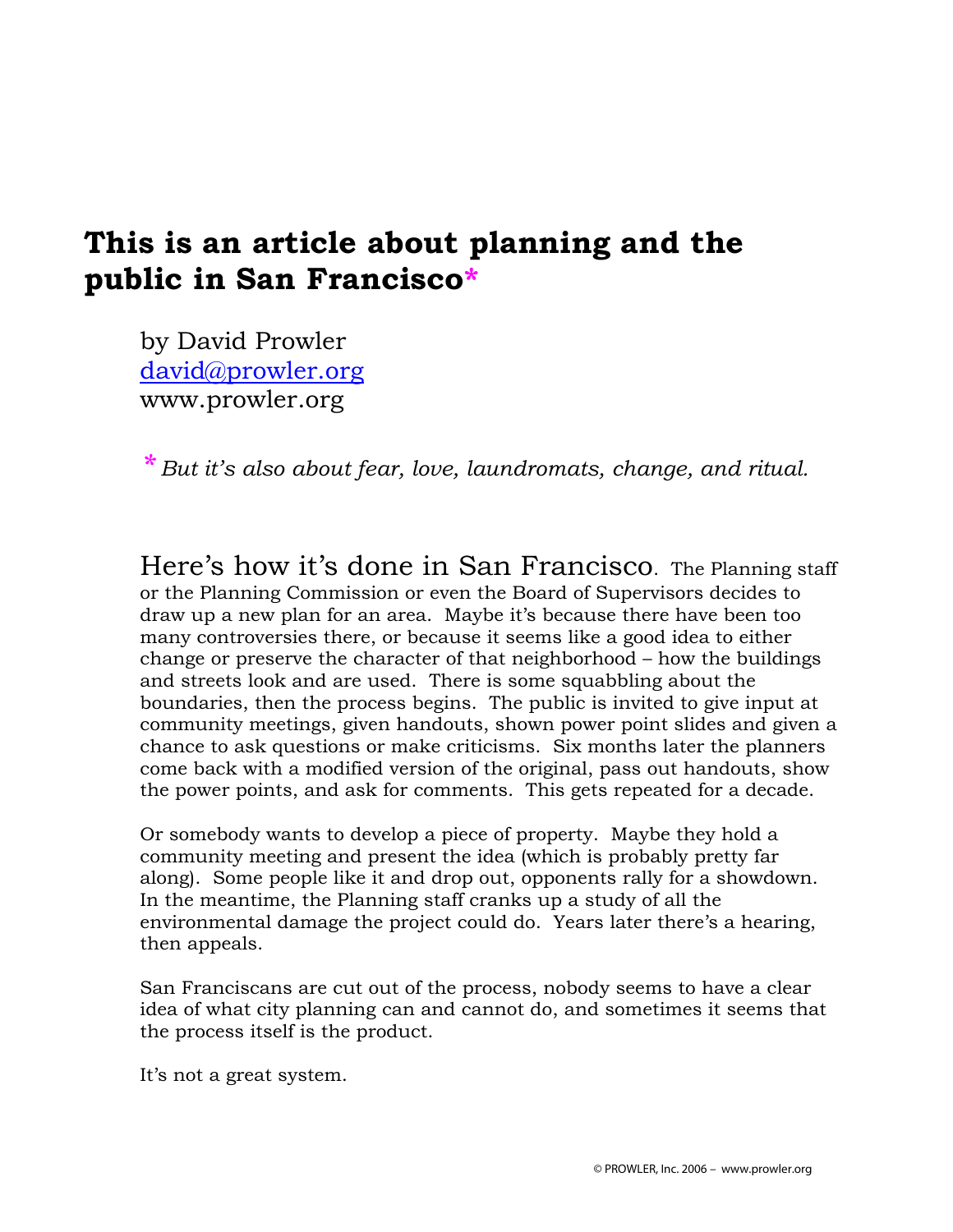## **This is an article about planning and the public in San Francisco\***

by David Prowler david@prowler.org www.prowler.org

*\* But it's also about fear, love, laundromats, change, and ritual.* 

Here's how it's done in San Francisco. The Planning staff or the Planning Commission or even the Board of Supervisors decides to draw up a new plan for an area. Maybe it's because there have been too many controversies there, or because it seems like a good idea to either change or preserve the character of that neighborhood – how the buildings and streets look and are used. There is some squabbling about the boundaries, then the process begins. The public is invited to give input at community meetings, given handouts, shown power point slides and given a chance to ask questions or make criticisms. Six months later the planners come back with a modified version of the original, pass out handouts, show the power points, and ask for comments. This gets repeated for a decade.

Or somebody wants to develop a piece of property. Maybe they hold a community meeting and present the idea (which is probably pretty far along). Some people like it and drop out, opponents rally for a showdown. In the meantime, the Planning staff cranks up a study of all the environmental damage the project could do. Years later there's a hearing, then appeals.

San Franciscans are cut out of the process, nobody seems to have a clear idea of what city planning can and cannot do, and sometimes it seems that the process itself is the product.

It's not a great system.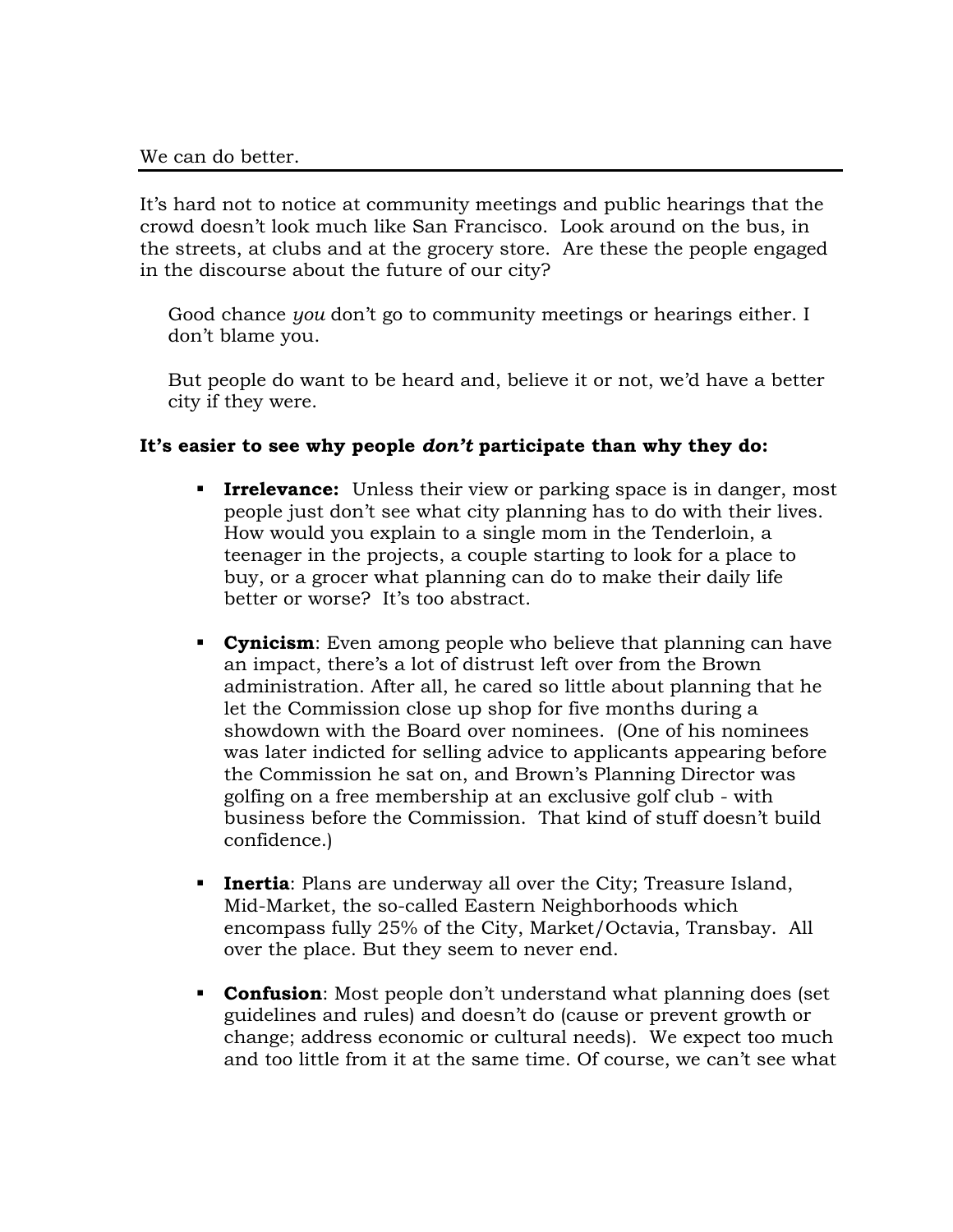It's hard not to notice at community meetings and public hearings that the crowd doesn't look much like San Francisco. Look around on the bus, in the streets, at clubs and at the grocery store. Are these the people engaged in the discourse about the future of our city?

Good chance *you* don't go to community meetings or hearings either. I don't blame you.

But people do want to be heard and, believe it or not, we'd have a better city if they were.

## **It's easier to see why people** *don't* **participate than why they do:**

- **Irrelevance:** Unless their view or parking space is in danger, most people just don't see what city planning has to do with their lives. How would you explain to a single mom in the Tenderloin, a teenager in the projects, a couple starting to look for a place to buy, or a grocer what planning can do to make their daily life better or worse? It's too abstract.
- **Cynicism**: Even among people who believe that planning can have an impact, there's a lot of distrust left over from the Brown administration. After all, he cared so little about planning that he let the Commission close up shop for five months during a showdown with the Board over nominees. (One of his nominees was later indicted for selling advice to applicants appearing before the Commission he sat on, and Brown's Planning Director was golfing on a free membership at an exclusive golf club - with business before the Commission. That kind of stuff doesn't build confidence.)
- **Inertia**: Plans are underway all over the City; Treasure Island, Mid-Market, the so-called Eastern Neighborhoods which encompass fully 25% of the City, Market/Octavia, Transbay. All over the place. But they seem to never end.
- **Confusion:** Most people don't understand what planning does (set guidelines and rules) and doesn't do (cause or prevent growth or change; address economic or cultural needs). We expect too much and too little from it at the same time. Of course, we can't see what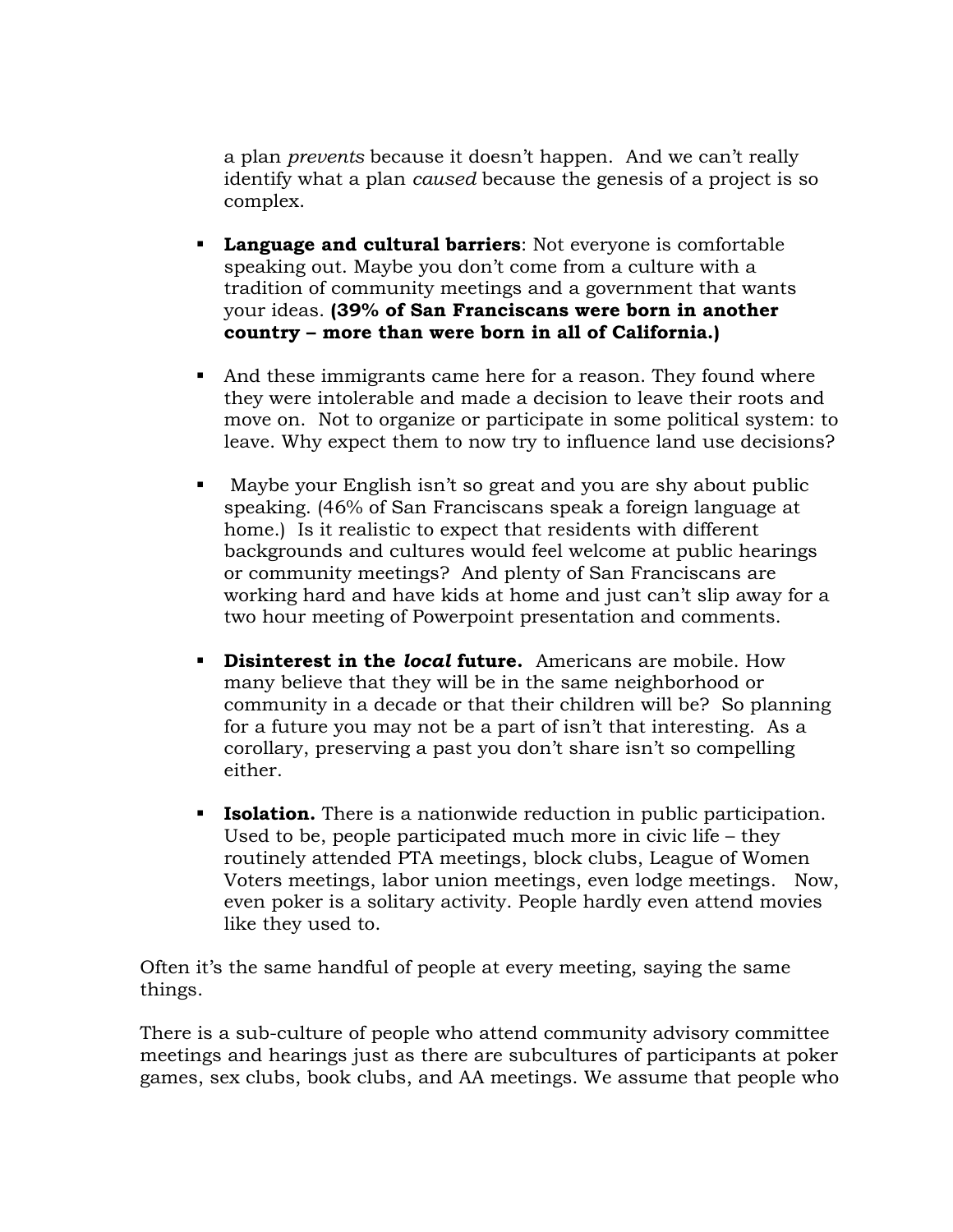a plan *prevents* because it doesn't happen. And we can't really identify what a plan *caused* because the genesis of a project is so complex.

- **Language and cultural barriers**: Not everyone is comfortable speaking out. Maybe you don't come from a culture with a tradition of community meetings and a government that wants your ideas. **(39% of San Franciscans were born in another country – more than were born in all of California.)**
- And these immigrants came here for a reason. They found where they were intolerable and made a decision to leave their roots and move on. Not to organize or participate in some political system: to leave. Why expect them to now try to influence land use decisions?
- Maybe your English isn't so great and you are shy about public speaking. (46% of San Franciscans speak a foreign language at home.) Is it realistic to expect that residents with different backgrounds and cultures would feel welcome at public hearings or community meetings? And plenty of San Franciscans are working hard and have kids at home and just can't slip away for a two hour meeting of Powerpoint presentation and comments.
- **Disinterest in the** *local* **future.** Americans are mobile. How many believe that they will be in the same neighborhood or community in a decade or that their children will be? So planning for a future you may not be a part of isn't that interesting. As a corollary, preserving a past you don't share isn't so compelling either.
- **Isolation.** There is a nationwide reduction in public participation. Used to be, people participated much more in civic life – they routinely attended PTA meetings, block clubs, League of Women Voters meetings, labor union meetings, even lodge meetings. Now, even poker is a solitary activity. People hardly even attend movies like they used to.

Often it's the same handful of people at every meeting, saying the same things.

There is a sub-culture of people who attend community advisory committee meetings and hearings just as there are subcultures of participants at poker games, sex clubs, book clubs, and AA meetings. We assume that people who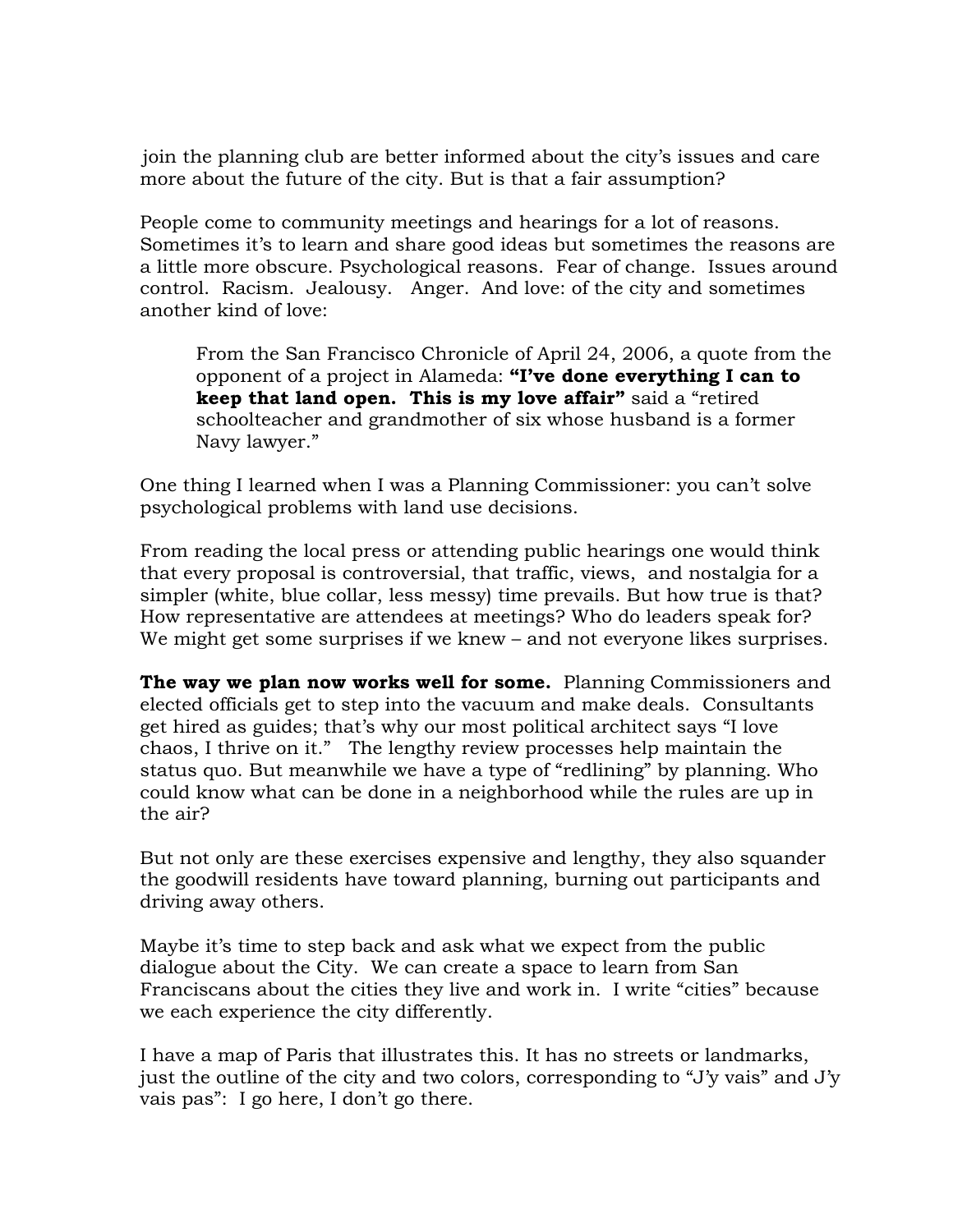join the planning club are better informed about the city's issues and care more about the future of the city. But is that a fair assumption?

People come to community meetings and hearings for a lot of reasons. Sometimes it's to learn and share good ideas but sometimes the reasons are a little more obscure. Psychological reasons. Fear of change. Issues around control. Racism. Jealousy. Anger. And love: of the city and sometimes another kind of love:

From the San Francisco Chronicle of April 24, 2006, a quote from the opponent of a project in Alameda: **"I've done everything I can to keep that land open. This is my love affair"** said a "retired schoolteacher and grandmother of six whose husband is a former Navy lawyer."

One thing I learned when I was a Planning Commissioner: you can't solve psychological problems with land use decisions.

From reading the local press or attending public hearings one would think that every proposal is controversial, that traffic, views, and nostalgia for a simpler (white, blue collar, less messy) time prevails. But how true is that? How representative are attendees at meetings? Who do leaders speak for? We might get some surprises if we knew – and not everyone likes surprises.

**The way we plan now works well for some.** Planning Commissioners and elected officials get to step into the vacuum and make deals. Consultants get hired as guides; that's why our most political architect says "I love chaos, I thrive on it." The lengthy review processes help maintain the status quo. But meanwhile we have a type of "redlining" by planning. Who could know what can be done in a neighborhood while the rules are up in the air?

But not only are these exercises expensive and lengthy, they also squander the goodwill residents have toward planning, burning out participants and driving away others.

Maybe it's time to step back and ask what we expect from the public dialogue about the City. We can create a space to learn from San Franciscans about the cities they live and work in. I write "cities" because we each experience the city differently.

I have a map of Paris that illustrates this. It has no streets or landmarks, just the outline of the city and two colors, corresponding to "J'y vais" and J'y vais pas": I go here, I don't go there.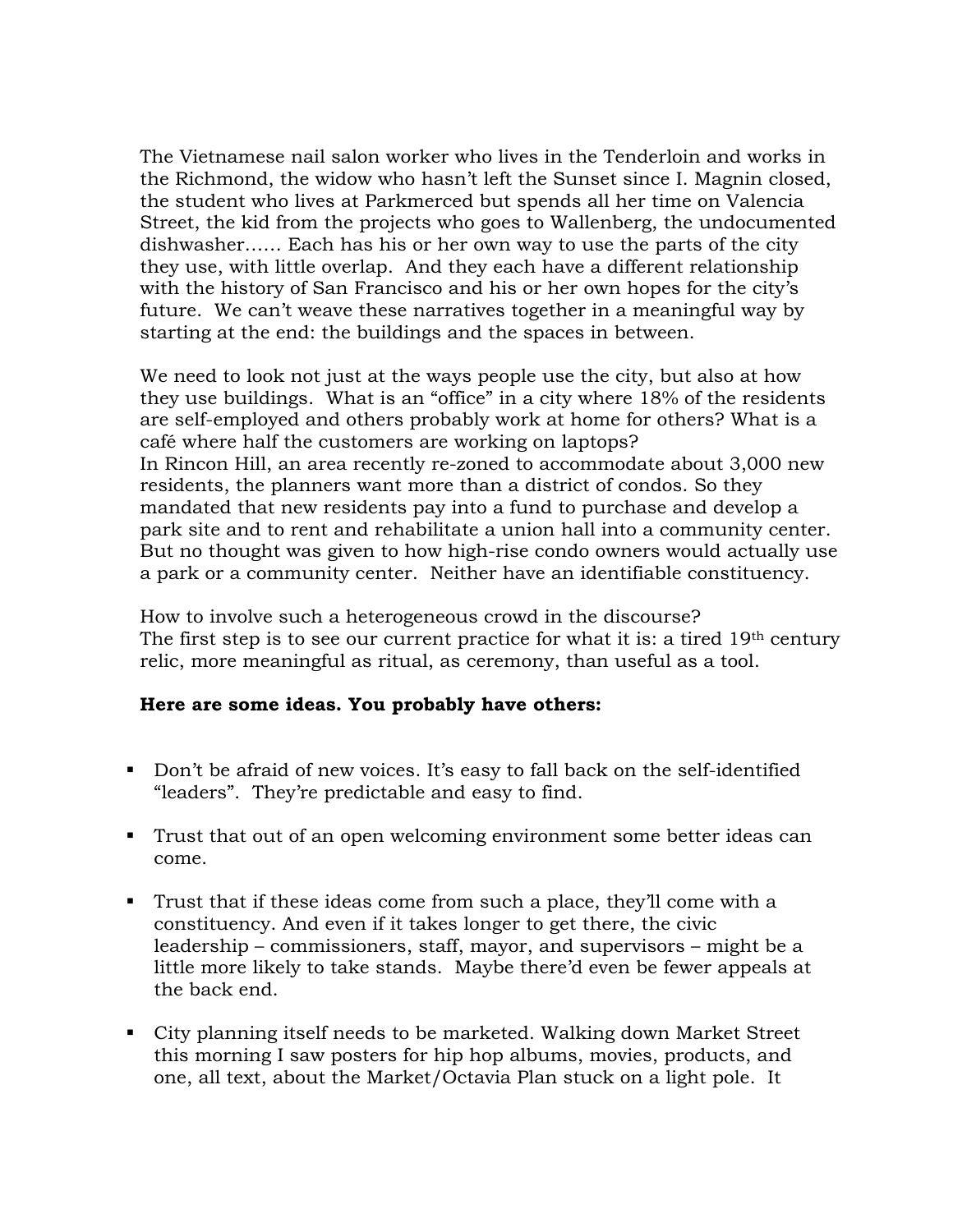The Vietnamese nail salon worker who lives in the Tenderloin and works in the Richmond, the widow who hasn't left the Sunset since I. Magnin closed, the student who lives at Parkmerced but spends all her time on Valencia Street, the kid from the projects who goes to Wallenberg, the undocumented dishwasher…… Each has his or her own way to use the parts of the city they use, with little overlap. And they each have a different relationship with the history of San Francisco and his or her own hopes for the city's future. We can't weave these narratives together in a meaningful way by starting at the end: the buildings and the spaces in between.

We need to look not just at the ways people use the city, but also at how they use buildings. What is an "office" in a city where 18% of the residents are self-employed and others probably work at home for others? What is a café where half the customers are working on laptops? In Rincon Hill, an area recently re-zoned to accommodate about 3,000 new residents, the planners want more than a district of condos. So they mandated that new residents pay into a fund to purchase and develop a park site and to rent and rehabilitate a union hall into a community center. But no thought was given to how high-rise condo owners would actually use a park or a community center. Neither have an identifiable constituency.

How to involve such a heterogeneous crowd in the discourse? The first step is to see our current practice for what it is: a tired 19<sup>th</sup> century relic, more meaningful as ritual, as ceremony, than useful as a tool.

## **Here are some ideas. You probably have others:**

- Don't be afraid of new voices. It's easy to fall back on the self-identified "leaders". They're predictable and easy to find.
- Trust that out of an open welcoming environment some better ideas can come.
- Trust that if these ideas come from such a place, they'll come with a constituency. And even if it takes longer to get there, the civic leadership – commissioners, staff, mayor, and supervisors – might be a little more likely to take stands. Maybe there'd even be fewer appeals at the back end.
- City planning itself needs to be marketed. Walking down Market Street this morning I saw posters for hip hop albums, movies, products, and one, all text, about the Market/Octavia Plan stuck on a light pole. It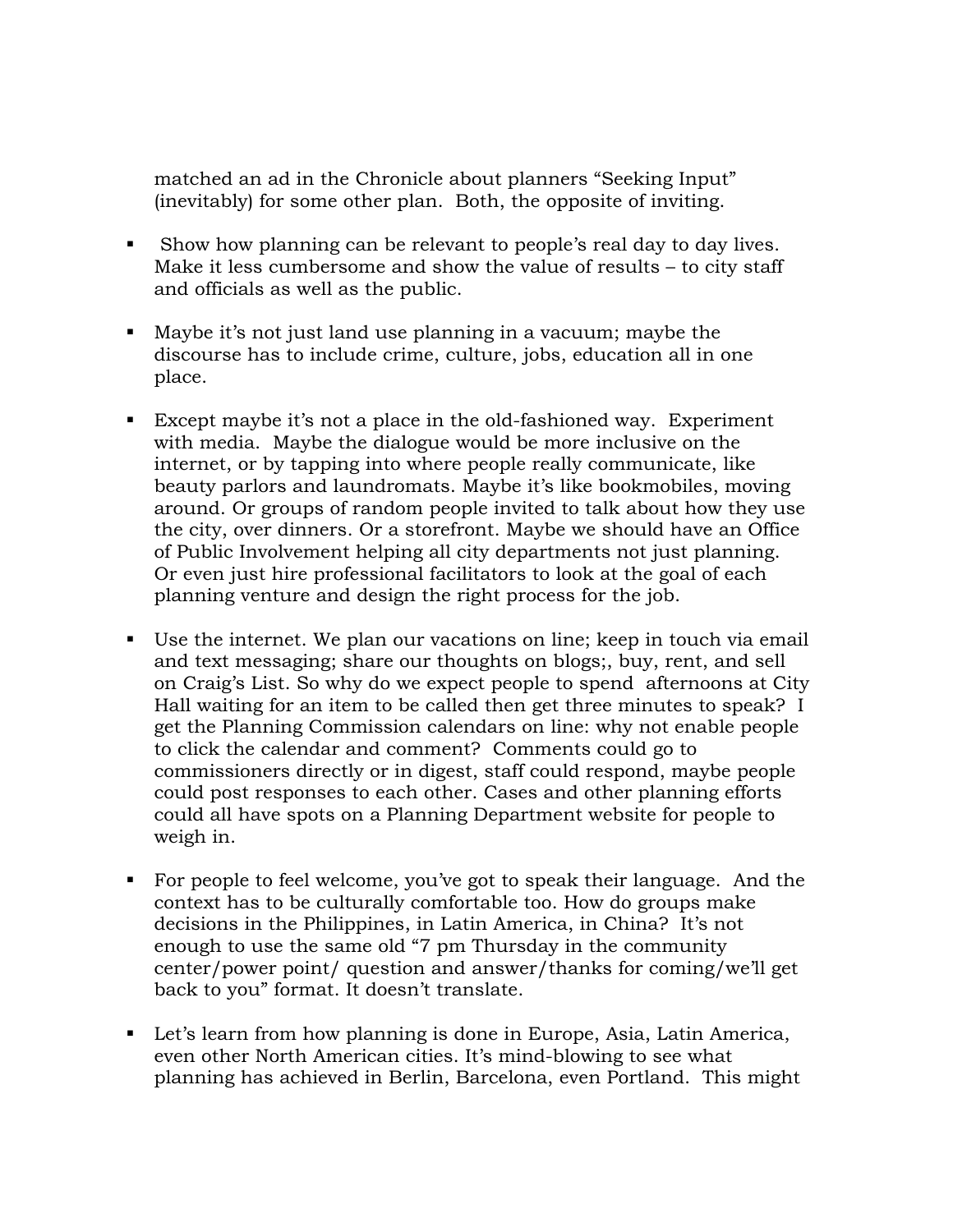matched an ad in the Chronicle about planners "Seeking Input" (inevitably) for some other plan. Both, the opposite of inviting.

- Show how planning can be relevant to people's real day to day lives. Make it less cumbersome and show the value of results – to city staff and officials as well as the public.
- Maybe it's not just land use planning in a vacuum; maybe the discourse has to include crime, culture, jobs, education all in one place.
- Except maybe it's not a place in the old-fashioned way. Experiment with media. Maybe the dialogue would be more inclusive on the internet, or by tapping into where people really communicate, like beauty parlors and laundromats. Maybe it's like bookmobiles, moving around. Or groups of random people invited to talk about how they use the city, over dinners. Or a storefront. Maybe we should have an Office of Public Involvement helping all city departments not just planning. Or even just hire professional facilitators to look at the goal of each planning venture and design the right process for the job.
- Use the internet. We plan our vacations on line; keep in touch via email and text messaging; share our thoughts on blogs;, buy, rent, and sell on Craig's List. So why do we expect people to spend afternoons at City Hall waiting for an item to be called then get three minutes to speak? I get the Planning Commission calendars on line: why not enable people to click the calendar and comment? Comments could go to commissioners directly or in digest, staff could respond, maybe people could post responses to each other. Cases and other planning efforts could all have spots on a Planning Department website for people to weigh in.
- For people to feel welcome, you've got to speak their language. And the context has to be culturally comfortable too. How do groups make decisions in the Philippines, in Latin America, in China? It's not enough to use the same old "7 pm Thursday in the community center/power point/ question and answer/thanks for coming/we'll get back to you" format. It doesn't translate.
- Let's learn from how planning is done in Europe, Asia, Latin America, even other North American cities. It's mind-blowing to see what planning has achieved in Berlin, Barcelona, even Portland. This might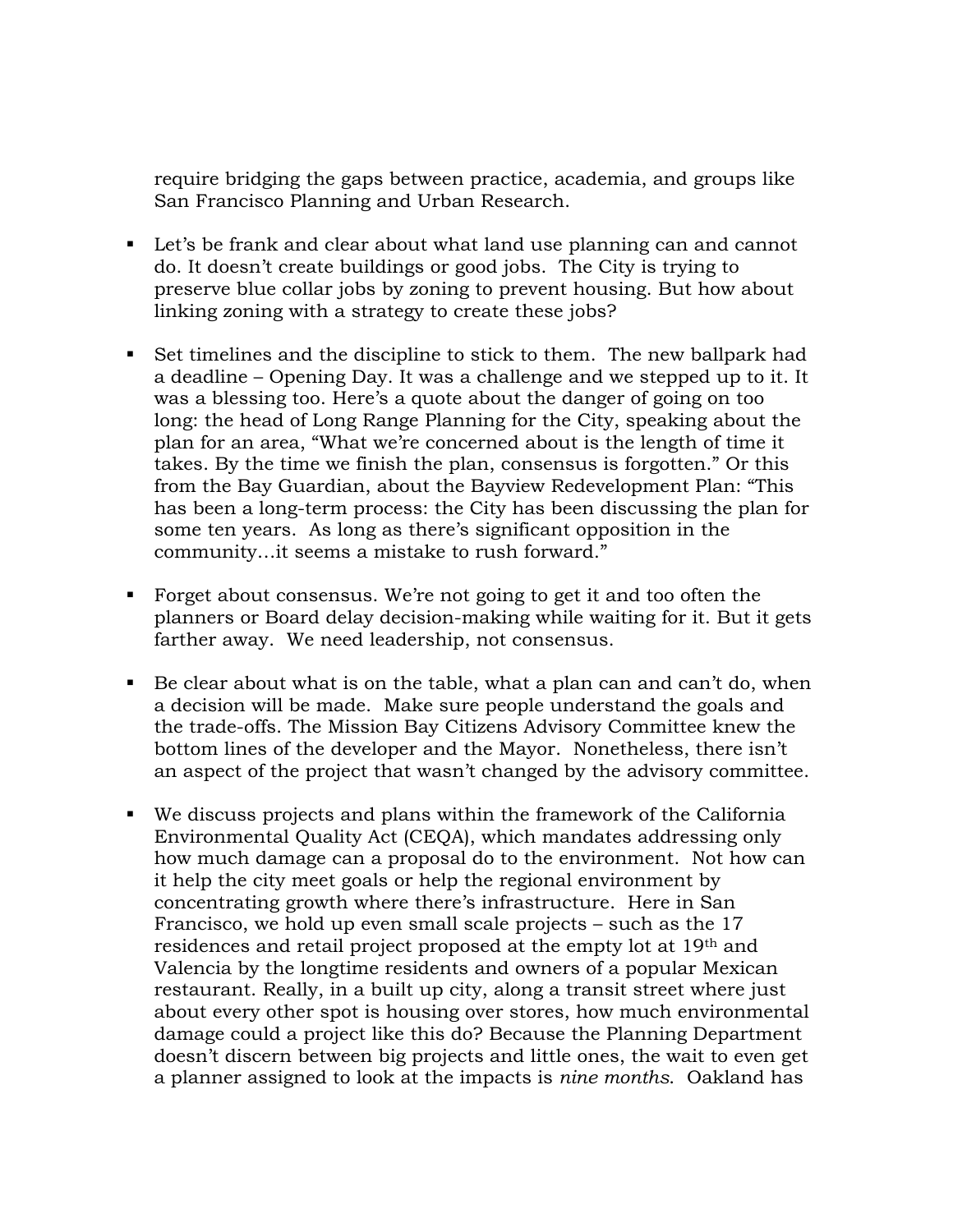require bridging the gaps between practice, academia, and groups like San Francisco Planning and Urban Research.

- Let's be frank and clear about what land use planning can and cannot do. It doesn't create buildings or good jobs. The City is trying to preserve blue collar jobs by zoning to prevent housing. But how about linking zoning with a strategy to create these jobs?
- Set timelines and the discipline to stick to them. The new ballpark had a deadline – Opening Day. It was a challenge and we stepped up to it. It was a blessing too. Here's a quote about the danger of going on too long: the head of Long Range Planning for the City, speaking about the plan for an area, "What we're concerned about is the length of time it takes. By the time we finish the plan, consensus is forgotten." Or this from the Bay Guardian, about the Bayview Redevelopment Plan: "This has been a long-term process: the City has been discussing the plan for some ten years. As long as there's significant opposition in the community…it seems a mistake to rush forward."
- Forget about consensus. We're not going to get it and too often the planners or Board delay decision-making while waiting for it. But it gets farther away. We need leadership, not consensus.
- $\blacksquare$  Be clear about what is on the table, what a plan can and can't do, when a decision will be made. Make sure people understand the goals and the trade-offs. The Mission Bay Citizens Advisory Committee knew the bottom lines of the developer and the Mayor. Nonetheless, there isn't an aspect of the project that wasn't changed by the advisory committee.
- We discuss projects and plans within the framework of the California Environmental Quality Act (CEQA), which mandates addressing only how much damage can a proposal do to the environment. Not how can it help the city meet goals or help the regional environment by concentrating growth where there's infrastructure. Here in San Francisco, we hold up even small scale projects – such as the 17 residences and retail project proposed at the empty lot at 19th and Valencia by the longtime residents and owners of a popular Mexican restaurant. Really, in a built up city, along a transit street where just about every other spot is housing over stores, how much environmental damage could a project like this do? Because the Planning Department doesn't discern between big projects and little ones, the wait to even get a planner assigned to look at the impacts is *nine months*. Oakland has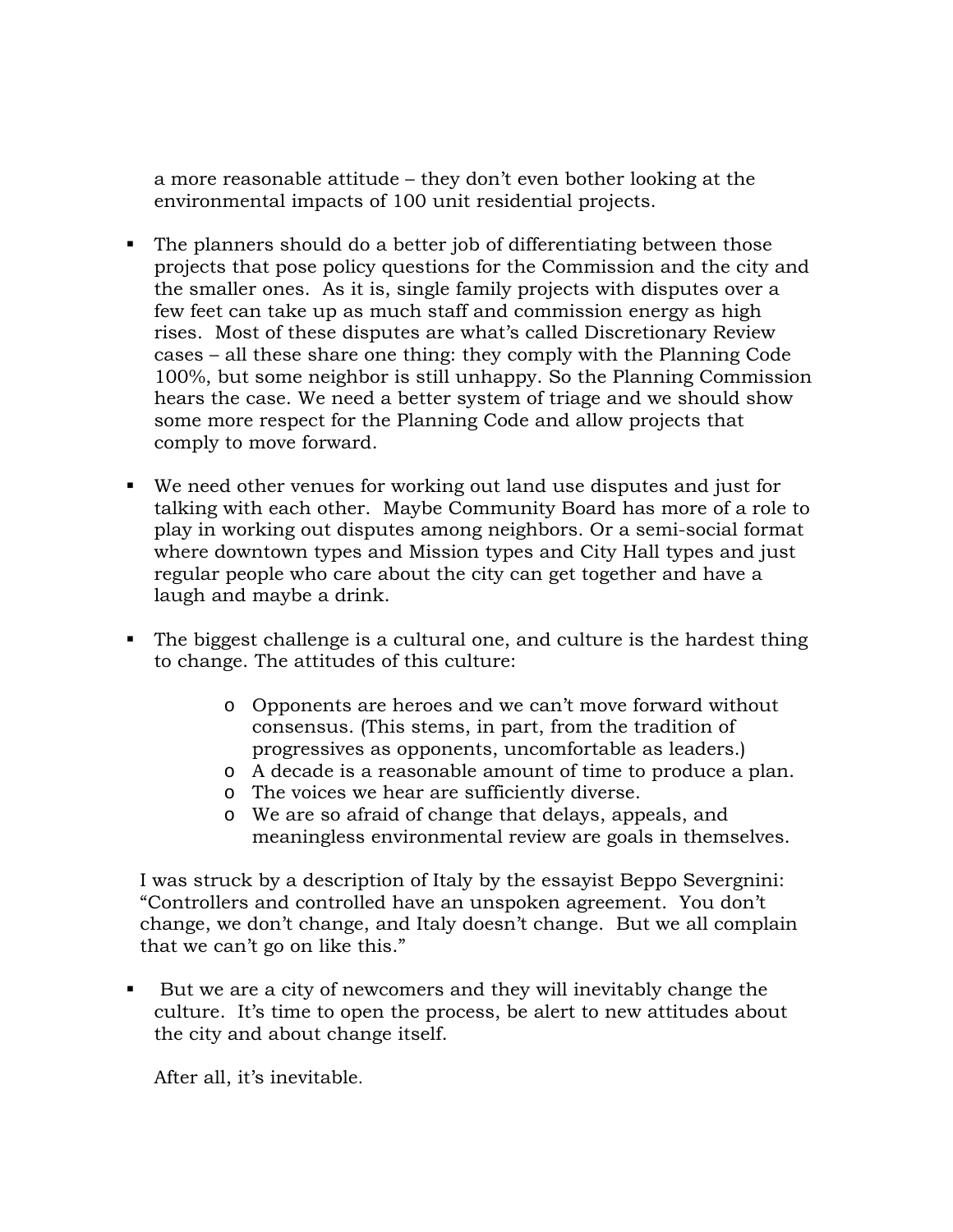a more reasonable attitude – they don't even bother looking at the environmental impacts of 100 unit residential projects.

- The planners should do a better job of differentiating between those projects that pose policy questions for the Commission and the city and the smaller ones. As it is, single family projects with disputes over a few feet can take up as much staff and commission energy as high rises. Most of these disputes are what's called Discretionary Review cases – all these share one thing: they comply with the Planning Code 100%, but some neighbor is still unhappy. So the Planning Commission hears the case. We need a better system of triage and we should show some more respect for the Planning Code and allow projects that comply to move forward.
- We need other venues for working out land use disputes and just for talking with each other. Maybe Community Board has more of a role to play in working out disputes among neighbors. Or a semi-social format where downtown types and Mission types and City Hall types and just regular people who care about the city can get together and have a laugh and maybe a drink.
- The biggest challenge is a cultural one, and culture is the hardest thing to change. The attitudes of this culture:
	- o Opponents are heroes and we can't move forward without consensus. (This stems, in part, from the tradition of progressives as opponents, uncomfortable as leaders.)
	- o A decade is a reasonable amount of time to produce a plan.
	- o The voices we hear are sufficiently diverse.
	- o We are so afraid of change that delays, appeals, and meaningless environmental review are goals in themselves.

I was struck by a description of Italy by the essayist Beppo Severgnini: "Controllers and controlled have an unspoken agreement. You don't change, we don't change, and Italy doesn't change. But we all complain that we can't go on like this."

 But we are a city of newcomers and they will inevitably change the culture. It's time to open the process, be alert to new attitudes about the city and about change itself.

After all, it's inevitable.